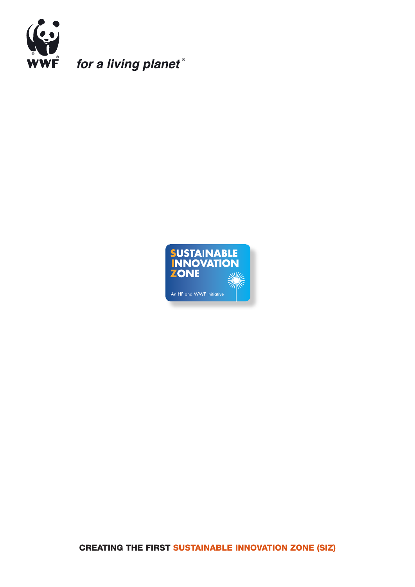

for a living planet®



CREATING THE FIRST SUSTAINABLE INNOVATION ZONE (SIZ)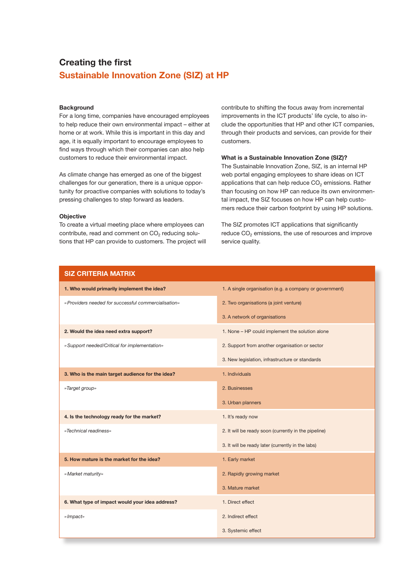# Creating the first Sustainable Innovation Zone (SIZ) at HP

## **Background**

For a long time, companies have encouraged employees to help reduce their own environmental impact – either at home or at work. While this is important in this day and age, it is equally important to encourage employees to find ways through which their companies can also help customers to reduce their environmental impact.

As climate change has emerged as one of the biggest challenges for our generation, there is a unique opportunity for proactive companies with solutions to today's pressing challenges to step forward as leaders.

#### **Objective**

To create a virtual meeting place where employees can contribute, read and comment on  $CO<sub>2</sub>$  reducing solutions that HP can provide to customers. The project will contribute to shifting the focus away from incremental improvements in the ICT products' life cycle, to also include the opportunities that HP and other ICT companies, through their products and services, can provide for their customers.

## What is a Sustainable Innovation Zone (SIZ)?

The Sustainable Innovation Zone, SIZ, is an internal HP web portal engaging employees to share ideas on ICT applications that can help reduce  $CO<sub>2</sub>$  emissions. Rather than focusing on how HP can reduce its own environmental impact, the SIZ focuses on how HP can help customers reduce their carbon footprint by using HP solutions.

The SIZ promotes ICT applications that significantly reduce CO<sub>2</sub> emissions, the use of resources and improve service quality.

1. A single organisation (e.g. a company or government)

*» Providers needed for successful commercialisation»* 2. Two organisations (a joint venture)

3. New legislation, infrastructure or standards

3. A network of organisations

| 1. Who would primarily implement the idea?           |
|------------------------------------------------------|
| » Providers needed for successful commercialisation» |
|                                                      |

2. Would the idea need extra support? 1. None – HP could implement the solution alone

SIZ CRITERIA MATRIX

*» Support needed/Critical for implementation»* 2. Support from another organisation or sector

3. Who is the main target audience for the idea? 1. Individuals *»Target group»* 2. Businesses

- 4. Is the technology ready for the market? 1. It's ready now *»Technical readiness»* 2. It will be ready soon (currently in the pipeline)
	- 3. It will be ready later (currently in the labs)

3. Urban planners

5. How mature is the market for the idea? 1. Early market

*» Market maturity»* 2. Rapidly growing market

6. What type of impact would your idea address? 1. Direct effect

*» Impact»* 2. Indirect effect

3. Systemic effect

3. Mature market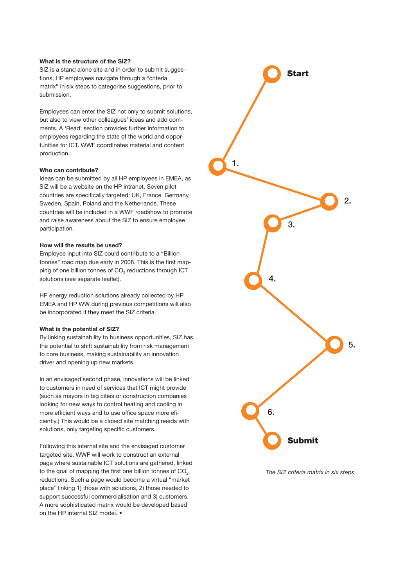# What is the structure of the SIZ?

SIZ is a stand alone site and in order to submit suggestions, HP employees navigate through a "criteria matrix" in six steps to categorise suggestions, prior to submission.

Employees can enter the SIZ not only to submit solutions, but also to view other colleagues' ideas and add comments. A 'Read' section provides further information to employees regarding the state of the world and opportunities for ICT. WWF coordinates material and content production.

## Who can contribute?

Ideas can be submitted by all HP employees in EMEA, as SIZ will be a website on the HP intranet. Seven pilot countries are specifically targeted; UK, France, Germany, Sweden, Spain, Poland and the Netherlands. These countries will be included in a WWF roadshow to promote and raise awareness about the SIZ to ensure employee participation.

### How will the results be used?

Employee input into SIZ could contribute to a "Billion tonnes" road map due early in 2008. This is the first mapping of one billion tonnes of  $CO<sub>2</sub>$  reductions through ICT solutions (see separate leaflet).

HP energy reduction solutions already collected by HP EMEA and HP WW during previous competitions will also be incorporated if they meet the SIZ criteria.

#### What is the potential of SIZ?

By linking sustainability to business opportunities, SIZ has the potential to shift sustainability from risk management to core business, making sustainability an innovation driver and opening up new markets.

In an envisaged second phase, innovations will be linked to customers in need of services that ICT might provide (such as mayors in big cities or construction companies looking for new ways to control heating and cooling in more efficient ways and to use office space more eficiently.) This would be a closed site matching needs with solutions, only targeting specific customers.

Following this internal site and the envisaged customer targeted site, WWF will work to construct an external page where sustainable ICT solutions are gathered, linked to the goal of mapping the first one billion tonnes of  $CO<sub>2</sub>$ reductions. Such a page would become a virtual "market place" linking 1) those with solutions, 2) those needed to support successful commercialisation and 3) customers. A more sophisticated matrix would be developed based on the HP internal SIZ model. •



*The SIZ criteria matrix in six steps*